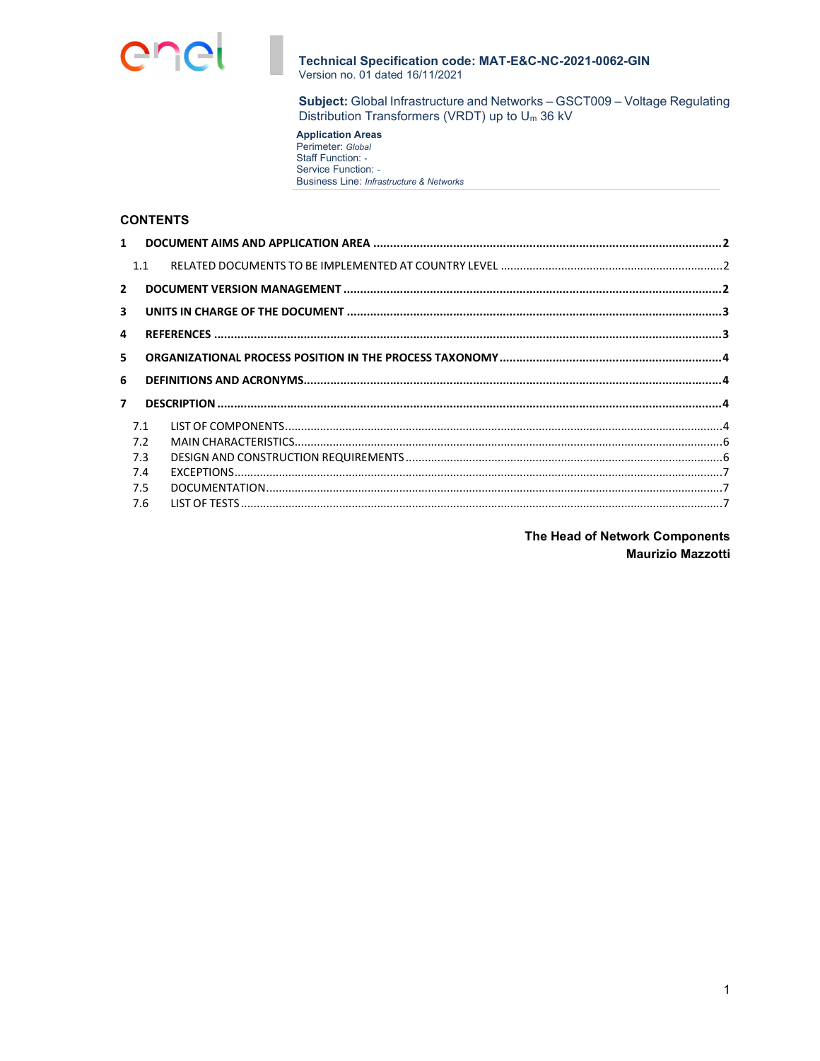

Subject: Global Infrastructure and Networks - GSCT009 - Voltage Regulating Distribution Transformers (VRDT) up to Um 36 kV

**Application Areas**<br>Perimeter: Global<br>Staff Function: -Service Function: -Business Line: Infrastructure & Networks

# **CONTENTS**

| $1 \quad$               |     |  |
|-------------------------|-----|--|
|                         | 1.1 |  |
| $\overline{2}$          |     |  |
| $\overline{\mathbf{3}}$ |     |  |
| 4                       |     |  |
| 5                       |     |  |
|                         |     |  |
| 6                       |     |  |
| $\overline{7}$          |     |  |
|                         | 7.1 |  |
|                         | 7.2 |  |
|                         | 7.3 |  |
|                         | 7.4 |  |
|                         | 7.5 |  |

The Head of Network Components **Maurizio Mazzotti**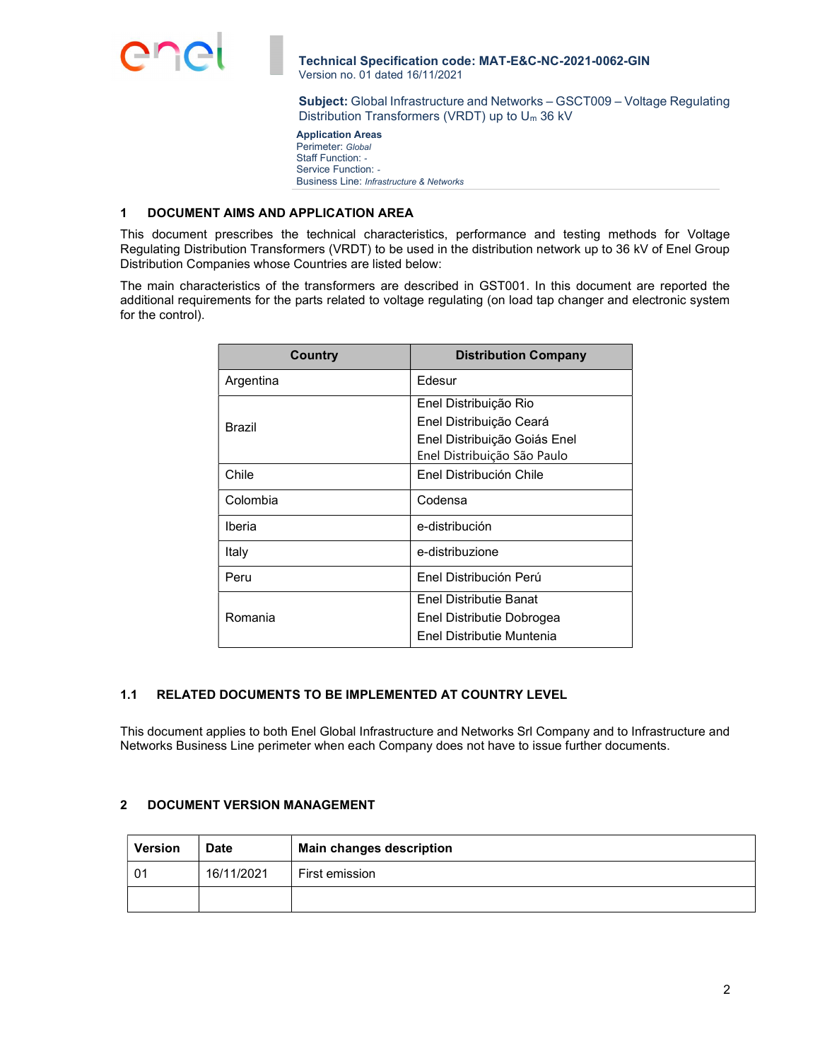

Subject: Global Infrastructure and Networks – GSCT009 – Voltage Regulating Distribution Transformers (VRDT) up to Um 36 kV

 Application Areas Perimeter: Global Staff Function: - Service Function: -Business Line: Infrastructure & Networks

#### 1 DOCUMENT AIMS AND APPLICATION AREA

This document prescribes the technical characteristics, performance and testing methods for Voltage Regulating Distribution Transformers (VRDT) to be used in the distribution network up to 36 kV of Enel Group Distribution Companies whose Countries are listed below:

The main characteristics of the transformers are described in GST001. In this document are reported the additional requirements for the parts related to voltage regulating (on load tap changer and electronic system for the control).

| Country       | <b>Distribution Company</b>  |  |  |  |
|---------------|------------------------------|--|--|--|
| Argentina     | Edesur                       |  |  |  |
|               | Enel Distribuição Rio        |  |  |  |
| <b>Brazil</b> | Enel Distribuição Ceará      |  |  |  |
|               | Enel Distribuição Goiás Enel |  |  |  |
|               | Enel Distribuição São Paulo  |  |  |  |
| Chile         | Enel Distribución Chile      |  |  |  |
| Colombia      | Codensa                      |  |  |  |
| Iberia        | e-distribución               |  |  |  |
| Italy         | e-distribuzione              |  |  |  |
| Peru          | Enel Distribución Perú       |  |  |  |
|               | Enel Distributie Banat       |  |  |  |
| Romania       | Enel Distributie Dobrogea    |  |  |  |
|               | Enel Distributie Muntenia    |  |  |  |

# 1.1 RELATED DOCUMENTS TO BE IMPLEMENTED AT COUNTRY LEVEL

This document applies to both Enel Global Infrastructure and Networks Srl Company and to Infrastructure and Networks Business Line perimeter when each Company does not have to issue further documents.

# 2 DOCUMENT VERSION MANAGEMENT

| <b>Version</b> | <b>Date</b> | <b>Main changes description</b> |  |  |
|----------------|-------------|---------------------------------|--|--|
| 01             | 16/11/2021  | First emission                  |  |  |
|                |             |                                 |  |  |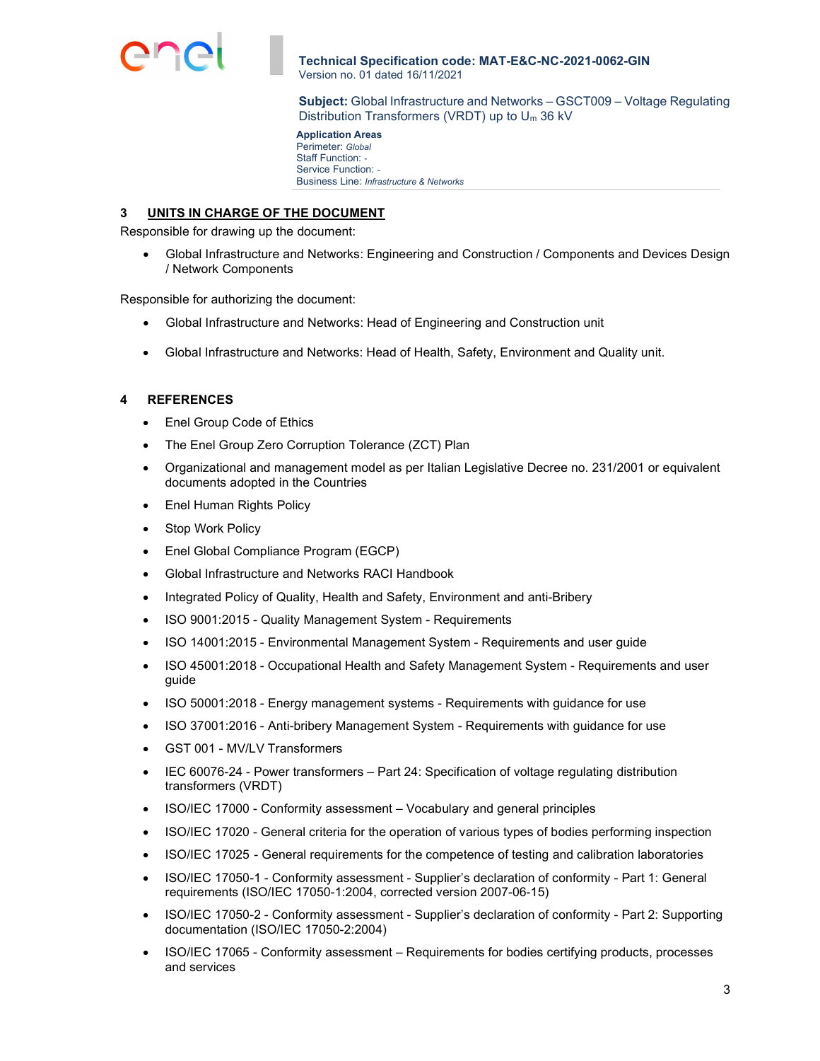

Subject: Global Infrastructure and Networks – GSCT009 – Voltage Regulating Distribution Transformers (VRDT) up to Um 36 kV

 Application Areas Perimeter: Global Staff Function: - Service Function: -Business Line: Infrastructure & Networks

### 3 UNITS IN CHARGE OF THE DOCUMENT

Responsible for drawing up the document:

 Global Infrastructure and Networks: Engineering and Construction / Components and Devices Design / Network Components

Responsible for authorizing the document:

- Global Infrastructure and Networks: Head of Engineering and Construction unit
- Global Infrastructure and Networks: Head of Health, Safety, Environment and Quality unit.

### 4 REFERENCES

- Enel Group Code of Ethics
- The Enel Group Zero Corruption Tolerance (ZCT) Plan
- Organizational and management model as per Italian Legislative Decree no. 231/2001 or equivalent documents adopted in the Countries
- Enel Human Rights Policy
- Stop Work Policy
- Enel Global Compliance Program (EGCP)
- Global Infrastructure and Networks RACI Handbook
- Integrated Policy of Quality, Health and Safety, Environment and anti-Bribery
- ISO 9001:2015 Quality Management System Requirements
- ISO 14001:2015 Environmental Management System Requirements and user guide
- ISO 45001:2018 Occupational Health and Safety Management System Requirements and user guide
- ISO 50001:2018 Energy management systems Requirements with guidance for use
- ISO 37001:2016 Anti-bribery Management System Requirements with guidance for use
- GST 001 MV/LV Transformers
- IEC 60076-24 Power transformers Part 24: Specification of voltage regulating distribution transformers (VRDT)
- ISO/IEC 17000 Conformity assessment Vocabulary and general principles
- ISO/IEC 17020 General criteria for the operation of various types of bodies performing inspection
- ISO/IEC 17025 General requirements for the competence of testing and calibration laboratories
- ISO/IEC 17050-1 Conformity assessment Supplier's declaration of conformity Part 1: General requirements (ISO/IEC 17050-1:2004, corrected version 2007-06-15)
- ISO/IEC 17050-2 Conformity assessment Supplier's declaration of conformity Part 2: Supporting documentation (ISO/IEC 17050-2:2004)
- ISO/IEC 17065 Conformity assessment Requirements for bodies certifying products, processes and services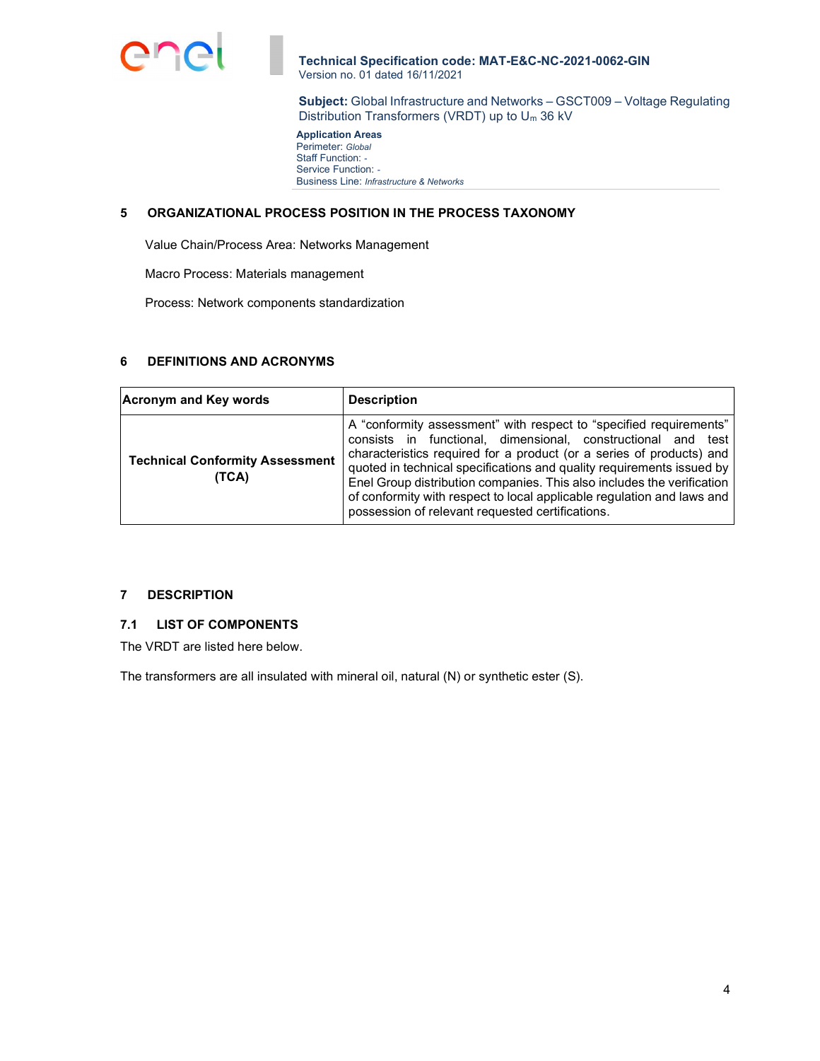

Subject: Global Infrastructure and Networks – GSCT009 – Voltage Regulating Distribution Transformers (VRDT) up to Um 36 kV

 Application Areas Perimeter: Global Staff Function: -Service Function: -Business Line: Infrastructure & Networks

### 5 ORGANIZATIONAL PROCESS POSITION IN THE PROCESS TAXONOMY

Value Chain/Process Area: Networks Management

Macro Process: Materials management

Process: Network components standardization

# 6 DEFINITIONS AND ACRONYMS

| <b>Acronym and Key words</b>                    | <b>Description</b>                                                                                                                                                                                                                                                                                                                                                                                                                                                                          |  |  |  |
|-------------------------------------------------|---------------------------------------------------------------------------------------------------------------------------------------------------------------------------------------------------------------------------------------------------------------------------------------------------------------------------------------------------------------------------------------------------------------------------------------------------------------------------------------------|--|--|--|
| <b>Technical Conformity Assessment</b><br>(TCA) | A "conformity assessment" with respect to "specified requirements"<br>consists in functional, dimensional, constructional and test<br>characteristics required for a product (or a series of products) and<br>quoted in technical specifications and quality requirements issued by<br>Enel Group distribution companies. This also includes the verification<br>of conformity with respect to local applicable regulation and laws and<br>possession of relevant requested certifications. |  |  |  |

### 7 DESCRIPTION

### 7.1 LIST OF COMPONENTS

The VRDT are listed here below.

The transformers are all insulated with mineral oil, natural (N) or synthetic ester (S).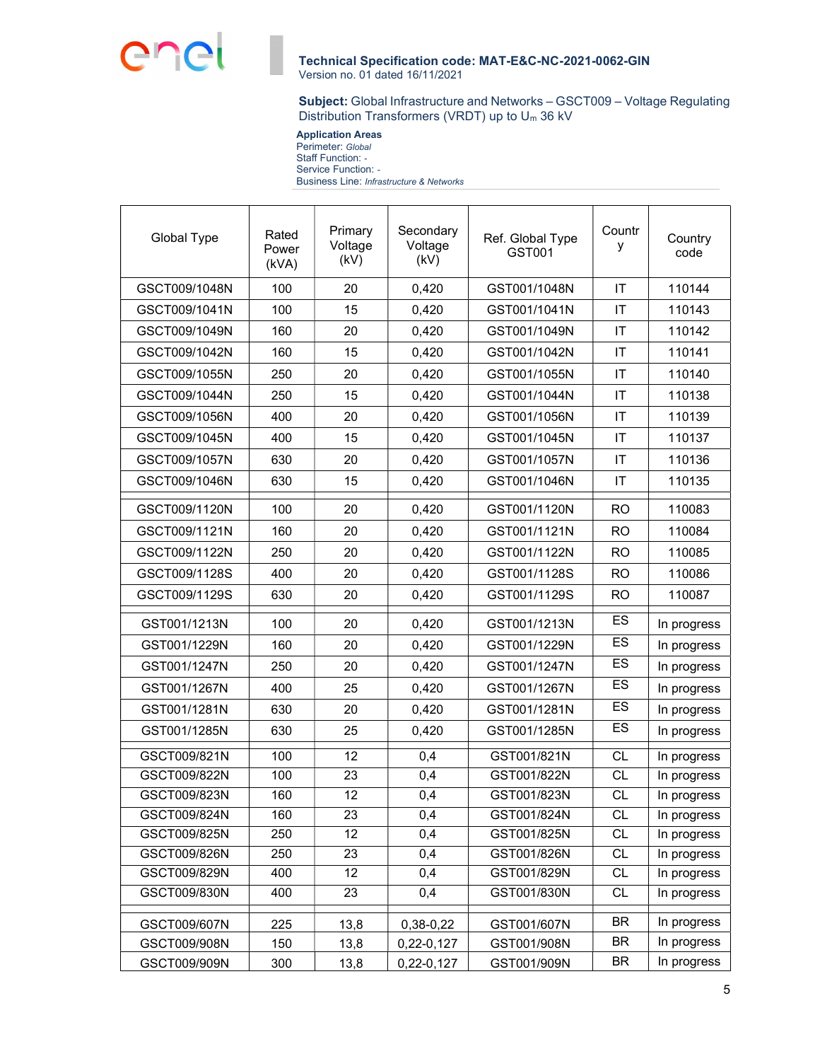

Subject: Global Infrastructure and Networks – GSCT009 – Voltage Regulating Distribution Transformers (VRDT) up to Um 36 kV

 Application Areas Perimeter: Global Staff Function: - Service Function: -Business Line: Infrastructure & Networks

| Global Type   | Rated<br>Power<br>(kVA) | Primary<br>Voltage<br>(kV) | Secondary<br>Voltage<br>(kV) | Ref. Global Type<br>GST001 | Countr<br>у     | Country<br>code |
|---------------|-------------------------|----------------------------|------------------------------|----------------------------|-----------------|-----------------|
| GSCT009/1048N | 100                     | 20                         | 0,420                        | GST001/1048N               | IT              | 110144          |
| GSCT009/1041N | 100                     | 15                         | 0,420                        | GST001/1041N               | IT              | 110143          |
| GSCT009/1049N | 160                     | 20                         | 0,420                        | GST001/1049N               | IT              | 110142          |
| GSCT009/1042N | 160                     | 15                         | 0,420                        | GST001/1042N               | IT              | 110141          |
| GSCT009/1055N | 250                     | 20                         | 0,420                        | GST001/1055N               | IT              | 110140          |
| GSCT009/1044N | 250                     | 15                         | 0,420                        | GST001/1044N               | IT              | 110138          |
| GSCT009/1056N | 400                     | 20                         | 0,420                        | GST001/1056N               | IT              | 110139          |
| GSCT009/1045N | 400                     | 15                         | 0,420                        | GST001/1045N               | IT              | 110137          |
| GSCT009/1057N | 630                     | 20                         | 0,420                        | GST001/1057N               | IT              | 110136          |
| GSCT009/1046N | 630                     | 15                         | 0,420                        | GST001/1046N               | IT              | 110135          |
| GSCT009/1120N | 100                     | 20                         | 0,420                        | GST001/1120N               | <b>RO</b>       | 110083          |
| GSCT009/1121N | 160                     | 20                         | 0,420                        | GST001/1121N               | <b>RO</b>       | 110084          |
| GSCT009/1122N | 250                     | 20                         | 0,420                        | GST001/1122N               | <b>RO</b>       | 110085          |
| GSCT009/1128S | 400                     | 20                         | 0,420                        | GST001/1128S               | <b>RO</b>       | 110086          |
| GSCT009/1129S | 630                     | 20                         | 0,420                        | GST001/1129S               | <b>RO</b>       | 110087          |
| GST001/1213N  | 100                     | 20                         | 0,420                        | GST001/1213N               | ES              | In progress     |
| GST001/1229N  | 160                     | 20                         | 0,420                        | GST001/1229N               | ES              | In progress     |
| GST001/1247N  | 250                     | 20                         | 0,420                        | GST001/1247N               | ES              | In progress     |
| GST001/1267N  | 400                     | 25                         | 0,420                        | GST001/1267N               | ES              | In progress     |
| GST001/1281N  | 630                     | 20                         | 0,420                        | GST001/1281N               | ES              | In progress     |
| GST001/1285N  | 630                     | 25                         | 0,420                        | GST001/1285N               | ES              | In progress     |
| GSCT009/821N  | 100                     | 12                         | 0,4                          | GST001/821N                | $\overline{CL}$ | In progress     |
| GSCT009/822N  | 100                     | 23                         | 0,4                          | GST001/822N                | <b>CL</b>       | In progress     |
| GSCT009/823N  | 160                     | $\overline{12}$            | 0,4                          | GST001/823N                | $\overline{CL}$ | In progress     |
| GSCT009/824N  | 160                     | 23                         | 0,4                          | GST001/824N                | <b>CL</b>       | In progress     |
| GSCT009/825N  | 250                     | 12                         | 0,4                          | GST001/825N                | CL              | In progress     |
| GSCT009/826N  | 250                     | 23                         | 0,4                          | GST001/826N                | $\overline{CL}$ | In progress     |
| GSCT009/829N  | 400                     | 12                         | 0,4                          | GST001/829N                | <b>CL</b>       | In progress     |
| GSCT009/830N  | 400                     | 23                         | 0,4                          | GST001/830N                | CL              | In progress     |
| GSCT009/607N  | 225                     | 13,8                       | 0,38-0,22                    | GST001/607N                | BR              | In progress     |
| GSCT009/908N  | 150                     | 13,8                       | 0,22-0,127                   | GST001/908N                | BR              | In progress     |
| GSCT009/909N  | 300                     | 13,8                       | 0,22-0,127                   | GST001/909N                | <b>BR</b>       | In progress     |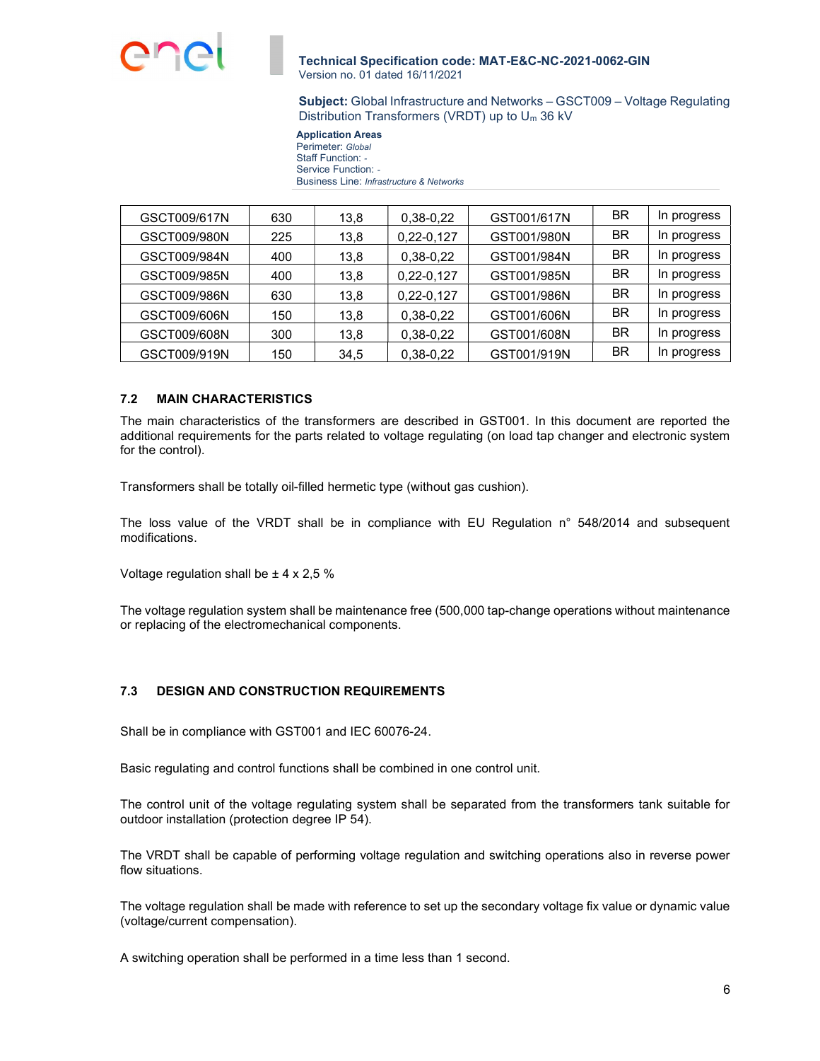

Subject: Global Infrastructure and Networks – GSCT009 – Voltage Regulating Distribution Transformers (VRDT) up to Um 36 kV

 Application Areas Perimeter: Global Staff Function: - Service Function: -Business Line: Infrastructure & Networks

| GSCT009/617N | 630 | 13,8 | 0,38-0,22    | GST001/617N | ΒR | In progress |
|--------------|-----|------|--------------|-------------|----|-------------|
| GSCT009/980N | 225 | 13,8 | $0,22-0,127$ | GST001/980N | ΒR | In progress |
| GSCT009/984N | 400 | 13,8 | 0,38-0,22    | GST001/984N | ΒR | In progress |
| GSCT009/985N | 400 | 13,8 | $0,22-0,127$ | GST001/985N | ΒR | In progress |
| GSCT009/986N | 630 | 13,8 | $0,22-0,127$ | GST001/986N | ΒR | In progress |
| GSCT009/606N | 150 | 13,8 | 0,38-0,22    | GST001/606N | ΒR | In progress |
| GSCT009/608N | 300 | 13,8 | $0,38-0,22$  | GST001/608N | ΒR | In progress |
| GSCT009/919N | 150 | 34,5 | 0,38-0,22    | GST001/919N | ΒR | In progress |

## 7.2 MAIN CHARACTERISTICS

The main characteristics of the transformers are described in GST001. In this document are reported the additional requirements for the parts related to voltage regulating (on load tap changer and electronic system for the control).

Transformers shall be totally oil-filled hermetic type (without gas cushion).

The loss value of the VRDT shall be in compliance with EU Regulation n° 548/2014 and subsequent modifications.

Voltage regulation shall be ± 4 x 2,5 %

The voltage regulation system shall be maintenance free (500,000 tap-change operations without maintenance or replacing of the electromechanical components.

# 7.3 DESIGN AND CONSTRUCTION REQUIREMENTS

Shall be in compliance with GST001 and IEC 60076-24.

Basic regulating and control functions shall be combined in one control unit.

The control unit of the voltage regulating system shall be separated from the transformers tank suitable for outdoor installation (protection degree IP 54).

The VRDT shall be capable of performing voltage regulation and switching operations also in reverse power flow situations.

The voltage regulation shall be made with reference to set up the secondary voltage fix value or dynamic value (voltage/current compensation).

A switching operation shall be performed in a time less than 1 second.